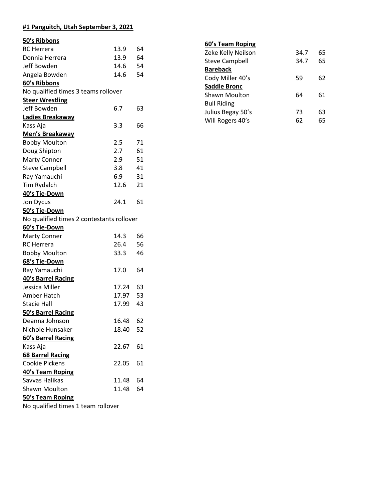### **#1 Panguitch, Utah September 3, 2021**

| 50's Ribbons                              |       |    |
|-------------------------------------------|-------|----|
| <b>RC</b> Herrera                         | 13.9  | 64 |
| Donnia Herrera                            | 13.9  | 64 |
| Jeff Bowden                               | 14.6  | 54 |
| Angela Bowden                             | 14.6  | 54 |
| 60's Ribbons                              |       |    |
| No qualified times 3 teams rollover       |       |    |
| <b>Steer Wrestling</b>                    |       |    |
| Jeff Bowden                               | 6.7   | 63 |
| Ladies Breakaway                          |       |    |
| Kass Aja                                  | 3.3   | 66 |
| Men's Breakaway                           |       |    |
| <b>Bobby Moulton</b>                      | 2.5   | 71 |
| Doug Shipton                              | 2.7   | 61 |
| <b>Marty Conner</b>                       | 2.9   | 51 |
| <b>Steve Campbell</b>                     | 3.8   | 41 |
| Ray Yamauchi                              | 6.9   | 31 |
| Tim Rydalch                               | 12.6  | 21 |
| 40's Tie-Down                             |       |    |
| Jon Dycus                                 | 24.1  | 61 |
| 50's Tie-Down                             |       |    |
| No qualified times 2 contestants rollover |       |    |
| 60's Tie-Down                             |       |    |
| <b>Marty Conner</b>                       | 14.3  | 66 |
| <b>RC</b> Herrera                         | 26.4  | 56 |
| <b>Bobby Moulton</b>                      | 33.3  | 46 |
| 68's Tie-Down                             |       |    |
| Ray Yamauchi                              | 17.0  | 64 |
| 40's Barrel Racing                        |       |    |
| Jessica Miller                            | 17.24 | 63 |
| Amber Hatch                               | 17.97 | 53 |
| <b>Stacie Hall</b>                        | 17.99 | 43 |
| 50's Barrel Racing                        |       |    |
| Deanna Johnson                            | 16.48 | 62 |
| Nichole Hunsaker                          | 18.40 | 52 |
| 60's Barrel Racing                        |       |    |
| Kass Aja                                  | 22.67 | 61 |
| <b>68 Barrel Racing</b>                   |       |    |
| <b>Cookie Pickens</b>                     | 22.05 | 61 |
| 40's Team Roping                          |       |    |
| Savvas Halikas                            | 11.48 | 64 |
| <b>Shawn Moulton</b>                      | 11.48 | 64 |
| 50's Team Roping                          |       |    |
| No qualified times 1 team rollover        |       |    |

| 60's Team Roping   |  |
|--------------------|--|
| Zeke Kelly Neilson |  |

| Zeke Kelly Neilson    | 34.7 | 65 |
|-----------------------|------|----|
| <b>Steve Campbell</b> | 34.7 | 65 |
| <b>Bareback</b>       |      |    |
| Cody Miller 40's      | 59   | 62 |
| <b>Saddle Bronc</b>   |      |    |
| <b>Shawn Moulton</b>  | 64   | 61 |
| <b>Bull Riding</b>    |      |    |
| Julius Begay 50's     | 73   | 63 |
| Will Rogers 40's      | 62   | 65 |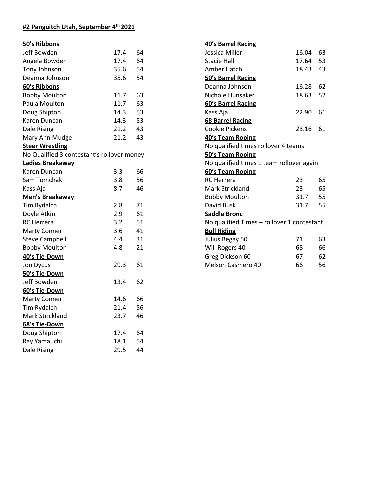### **#2 Panguitch Utah, September 4th 2021**

### **50's Ribbons**

| Jeff Bowden                                | 17.4 | 64 |
|--------------------------------------------|------|----|
| Angela Bowden                              | 17.4 | 64 |
| Tony Johnson                               | 35.6 | 54 |
| Deanna Johnson                             | 35.6 | 54 |
| 60's Ribbons                               |      |    |
| <b>Bobby Moulton</b>                       | 11.7 | 63 |
| Paula Moulton                              | 11.7 | 63 |
| Doug Shipton                               | 14.3 | 53 |
| Karen Duncan                               | 14.3 | 53 |
| <b>Dale Rising</b>                         | 21.2 | 43 |
| Mary Ann Mudge                             | 21.2 | 43 |
| <b>Steer Wrestling</b>                     |      |    |
| No Qualified 3 contestant's rollover money |      |    |
| Ladies Breakaway                           |      |    |
| Karen Duncan                               | 3.3  | 66 |
| Sam Tomchak                                | 3.8  | 56 |
| Kass Aja                                   | 8.7  | 46 |
| Men's Breakaway                            |      |    |
| Tim Rydalch                                | 2.8  | 71 |
| Doyle Atkin                                | 2.9  | 61 |
| <b>RC</b> Herrera                          | 3.2  | 51 |
| <b>Marty Conner</b>                        | 3.6  | 41 |
| <b>Steve Campbell</b>                      | 4.4  | 31 |
| <b>Bobby Moulton</b>                       | 4.8  | 21 |
| 40's Tie-Down                              |      |    |
| Jon Dycus                                  | 29.3 | 61 |
| 50's Tie-Down                              |      |    |
| Jeff Bowden                                | 13.4 | 62 |
| 60's Tie-Down                              |      |    |
| <b>Marty Conner</b>                        | 14.6 | 66 |
| Tim Rydalch                                | 21.4 | 56 |
| Mark Strickland                            | 23.7 | 46 |
| 68's Tie-Down                              |      |    |
| Doug Shipton                               | 17.4 | 64 |
| Ray Yamauchi                               | 18.1 | 54 |
| <b>Dale Rising</b>                         | 29.5 | 44 |

| 40's Barrel Racing                         |          |    |
|--------------------------------------------|----------|----|
| Jessica Miller                             | 16.04    | 63 |
| <b>Stacie Hall</b>                         | 17.64 53 |    |
| Amber Hatch                                | 18.43 43 |    |
| 50's Barrel Racing                         |          |    |
| Deanna Johnson                             | 16.28    | 62 |
| Nichole Hunsaker                           | 18.63    | 52 |
| 60's Barrel Racing                         |          |    |
| Kass Aja                                   | 22.90    | 61 |
| 68 Barrel Racing                           |          |    |
| Cookie Pickens                             | 23.16    | 61 |
| 40's Team Roping                           |          |    |
| No qualified times rollover 4 teams        |          |    |
| 50's Team Roping                           |          |    |
| No qualified times 1 team rollover again   |          |    |
| 60's Team Roping                           |          |    |
| <b>RC</b> Herrera                          | 23       | 65 |
| Mark Strickland                            | 23       | 65 |
| <b>Bobby Moulton</b>                       | 31.7 55  |    |
| David Busk                                 | 31.7     | 55 |
| <b>Saddle Bronc</b>                        |          |    |
| No qualified Times - rollover 1 contestant |          |    |
| <b>Bull Riding</b>                         |          |    |
| Julius Begay 50                            | 71       | 63 |
| Will Rogers 40                             | 68       | 66 |
| Greg Dickson 60                            | 67       | 62 |
| <b>Melson Casmero 40</b>                   | 66       | 56 |
|                                            |          |    |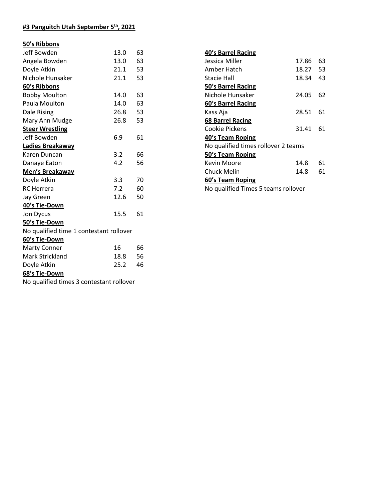# **#3 Panguitch Utah September 5th, 2021**

### **50's Ribbons**

| Jeff Bowden                             | 13.0 | 63 |
|-----------------------------------------|------|----|
| Angela Bowden                           | 13.0 | 63 |
| Doyle Atkin                             | 21.1 | 53 |
| Nichole Hunsaker                        | 21.1 | 53 |
| 60's Ribbons                            |      |    |
| <b>Bobby Moulton</b>                    | 14.0 | 63 |
| Paula Moulton                           | 14.0 | 63 |
| Dale Rising                             | 26.8 | 53 |
| Mary Ann Mudge                          | 26.8 | 53 |
| <b>Steer Wrestling</b>                  |      |    |
| Jeff Bowden                             | 6.9  | 61 |
| Ladies Breakaway                        |      |    |
| Karen Duncan                            | 3.2  | 66 |
| Danaye Eaton                            | 4.2  | 56 |
| Men's Breakaway                         |      |    |
| Doyle Atkin                             | 3.3  | 70 |
|                                         |      |    |
| <b>RC</b> Herrera                       | 7.2  | 60 |
| Jay Green                               | 12.6 | 50 |
| 40's Tie-Down                           |      |    |
| Jon Dycus                               | 15.5 | 61 |
| 50's Tie-Down                           |      |    |
| No qualified time 1 contestant rollover |      |    |
| 60's Tie-Down                           |      |    |
| <b>Marty Conner</b>                     | 16   | 66 |
| Mark Strickland                         | 18.8 | 56 |
| Doyle Atkin                             | 25.2 | 46 |
| 68's Tie-Down                           |      |    |

| <b>40's Barrel Racing</b>           |       |    |
|-------------------------------------|-------|----|
| Jessica Miller                      | 17.86 | 63 |
| Amber Hatch                         | 18.27 | 53 |
| Stacie Hall                         | 18.34 | 43 |
| 50's Barrel Racing                  |       |    |
| Nichole Hunsaker                    | 24.05 | 62 |
| 60's Barrel Racing                  |       |    |
| Kass Aja                            | 28.51 | 61 |
| 68 Barrel Racing                    |       |    |
| Cookie Pickens                      | 31.41 | 61 |
| 40's Team Roping                    |       |    |
| No qualified times rollover 2 teams |       |    |
| 50's Team Roping                    |       |    |
| Kevin Moore                         | 14.8  | 61 |
| Chuck Melin                         | 14.8  | 61 |
| 60's Team Roping                    |       |    |
| No qualified Times 5 teams rollover |       |    |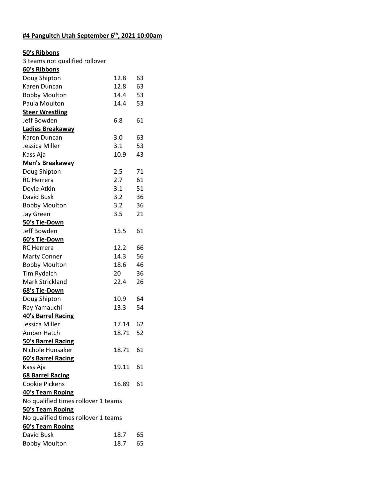# **#4 Panguitch Utah September 6th, 2021 10:00am**

#### **50's Ribbons**

| 3 teams not qualified rollover      |       |    |
|-------------------------------------|-------|----|
| 60's Ribbons                        |       |    |
| Doug Shipton                        | 12.8  | 63 |
| Karen Duncan                        | 12.8  | 63 |
| <b>Bobby Moulton</b>                | 14.4  | 53 |
| Paula Moulton                       | 14.4  | 53 |
| <b>Steer Wrestling</b>              |       |    |
| Jeff Bowden                         | 6.8   | 61 |
| Ladies Breakaway                    |       |    |
| Karen Duncan                        | 3.0   | 63 |
| Jessica Miller                      | 3.1   | 53 |
| Kass Aja                            | 10.9  | 43 |
| Men's Breakaway                     |       |    |
| Doug Shipton                        | 2.5   | 71 |
| <b>RC</b> Herrera                   | 2.7   | 61 |
| Doyle Atkin                         | 3.1   | 51 |
| David Busk                          | 3.2   | 36 |
| <b>Bobby Moulton</b>                | 3.2   | 36 |
| Jay Green                           | 3.5   | 21 |
| 50's Tie-Down                       |       |    |
| Jeff Bowden                         | 15.5  | 61 |
| 60's Tie-Down                       |       |    |
| <b>RC</b> Herrera                   | 12.2  | 66 |
| <b>Marty Conner</b>                 | 14.3  | 56 |
| <b>Bobby Moulton</b>                | 18.6  | 46 |
| Tim Rydalch                         | 20    | 36 |
| Mark Strickland                     | 22.4  | 26 |
| 68's Tie-Down                       |       |    |
| Doug Shipton                        | 10.9  | 64 |
| Ray Yamauchi                        | 13.3  | 54 |
| 40's Barrel Racing                  |       |    |
| Jessica Miller                      | 17.14 | 62 |
| Amber Hatch                         | 18.71 | 52 |
| 50's Barrel Racing                  |       |    |
| Nichole Hunsaker                    | 18.71 | 61 |
| 60's Barrel Racing                  |       |    |
| Kass Aja                            | 19.11 | 61 |
| <b>68 Barrel Racing</b>             |       |    |
| Cookie Pickens                      | 16.89 | 61 |
| 40's Team Roping                    |       |    |
| No qualified times rollover 1 teams |       |    |
| 50's Team Roping                    |       |    |
| No qualified times rollover 1 teams |       |    |
| 60's Team Roping                    |       |    |
| David Busk                          | 18.7  | 65 |
| <b>Bobby Moulton</b>                | 18.7  | 65 |